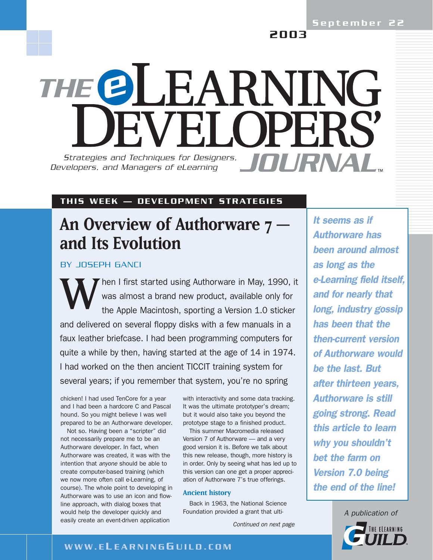2003

# THE OLEARNING TVEI OPERS *Strategies and Techniques for Designers, JOURNAL Developers, and Managers of eLearning*

## THIS WEEK — DEVELOPMENT STRATEGIES

## **An Overview of Authorware 7 and Its Evolution**

BY JOSEPH GANCI

Then I first started using Authorware in May, 1990, it was almost a brand new product, available only for the Apple Macintosh, sporting a Version 1.0 sticker and delivered on several floppy disks with a few manuals in a faux leather briefcase. I had been programming computers for quite a while by then, having started at the age of 14 in 1974. I had worked on the then ancient TICCIT training system for several years; if you remember that system, you're no spring

chicken! I had used TenCore for a year and I had been a hardcore C and Pascal hound. So you might believe I was well prepared to be an Authorware developer.

Not so. Having been a "scripter" did not necessarily prepare me to be an Authorware developer. In fact, when Authorware was created, it was with the intention that *anyone* should be able to create computer-based training (which we now more often call e-Learning, of course). The whole point to developing in Authorware was to use an icon and flowline approach, with dialog boxes that would help the developer quickly and easily create an event-driven application

with interactivity and some data tracking. It was the ultimate prototyper's dream; but it would also take you beyond the prototype stage to a finished product.

This summer Macromedia released Version 7 of Authorware — and a very good version it is. Before we talk about this new release, though, more history is in order. Only by seeing what has led up to this version can one get a proper appreciation of Authorware 7's true offerings.

#### **Ancient history**

Back in 1963, the National Science Foundation provided a grant that ulti-

*Continued on next page*

*It seems as if Authorware has been around almost as long as the e-Learning field itself, and for nearly that long, industry gossip has been that the then-current version of Authorware would be the last. But after thirteen years, Authorware is still going strong. Read this article to learn why you shouldn't bet the farm on Version 7.0 being the end of the line!*

> *A publication of* THE ELEARNING

## WWW.E L EARNING G UILD.COM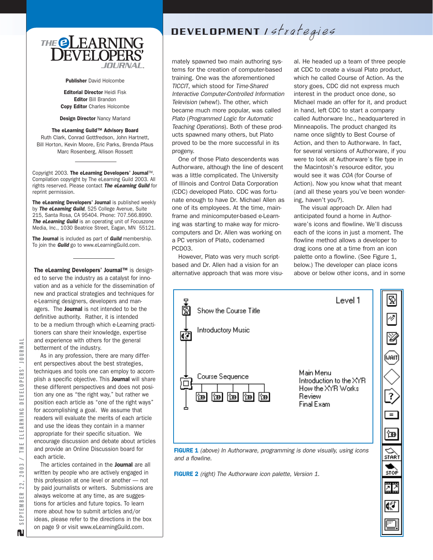

Publisher David Holcombe

Editorial Director Heidi Fisk Editor Bill Brandon Copy Editor Charles Holcombe

Design Director Nancy Marland

#### The eLearning Guild™ Advisory Board

Ruth Clark, Conrad Gottfredson, John Hartnett, Bill Horton, Kevin Moore, Eric Parks, Brenda Pfaus Marc Rosenberg, Allison Rossett

Copyright 2003. The eLearning Developers' Journal™. Compilation copyright by The eLearning Guild 2003. All rights reserved. Please contact *The eLearning Guild* for reprint permission.

The eLearning Developers' Journal is published weekly by *The eLearning Guild*, 525 College Avenue, Suite 215, Santa Rosa, CA 95404. Phone: 707.566.8990. *The eLearning Guild* is an operating unit of Focuszone Media, Inc., 1030 Beatrice Street, Eagan, MN 55121.

The Journal is included as part of *Guild* membership. To join the *Guild* go to www.eLearningGuild.com.

The eLearning Developers' Journal™ is designed to serve the industry as a catalyst for innovation and as a vehicle for the dissemination of new and practical strategies and techniques for e-Learning designers, developers and managers. The Journal is not intended to be the definitive authority. Rather, it is intended to be a medium through which e-Learning practitioners can share their knowledge, expertise and experience with others for the general betterment of the industry.

As in any profession, there are many different perspectives about the best strategies, techniques and tools one can employ to accomplish a specific objective. This **Journal** will share these different perspectives and does not position any one as "the right way," but rather we position each article as "one of the right ways" for accomplishing a goal. We assume that readers will evaluate the merits of each article and use the ideas they contain in a manner appropriate for their specific situation. We encourage discussion and debate about articles and provide an Online Discussion board for each article.

The articles contained in the **Journal** are all written by people who are actively engaged in this profession at one level or another — not by paid journalists or writers. Submissions are always welcome at any time, as are suggestions for articles and future topics. To learn more about how to submit articles and/or ideas, please refer to the directions in the box on page 9 or visit www.eLearningGuild.com.

## DEVELOPMENT Istrategies

mately spawned two main authoring systems for the creation of computer-based training. One was the aforementioned *TICCIT*, which stood for *Time-Shared Interactive Computer-Controlled Information Television* (whew!). The other, which became much more popular, was called *Plato* (*Programmed Logic for Automatic Teaching Operations*). Both of these products spawned many others, but Plato proved to be the more successful in its progeny.

One of those Plato descendents was Authorware, although the line of descent was a little complicated. The University of Illinois and Control Data Corporation (CDC) developed Plato. CDC was fortunate enough to have Dr. Michael Allen as one of its employees. At the time, mainframe and minicomputer-based e-Learning was starting to make way for microcomputers and Dr. Allen was working on a PC version of Plato, codenamed PCD03.

However, Plato was very much scriptbased and Dr. Allen had a vision for an alternative approach that was more visu-

al. He headed up a team of three people at CDC to create a visual Plato product, which he called Course of Action. As the story goes, CDC did not express much interest in the product once done, so Michael made an offer for it, and product in hand, left CDC to start a company called Authorware Inc., headquartered in Minneapolis. The product changed its name once slightly to Best Course of Action, and then to Authorware. In fact, for several versions of Authorware, if you were to look at Authorware's file type in the Macintosh's resource editor, you would see it was *COA* (for Course of Action). Now you know what that meant (and all these years you've been wondering, haven't you?).

The visual approach Dr. Allen had anticipated found a home in Authorware's icons and flowline. We'll discuss each of the icons in just a moment. The flowline method allows a developer to drag icons one at a time from an icon palette onto a flowline. (See Figure 1, below.) The developer can place icons above or below other icons, and in some



FIGURE 2 *(right) The Authorware icon palette, Version 1.*

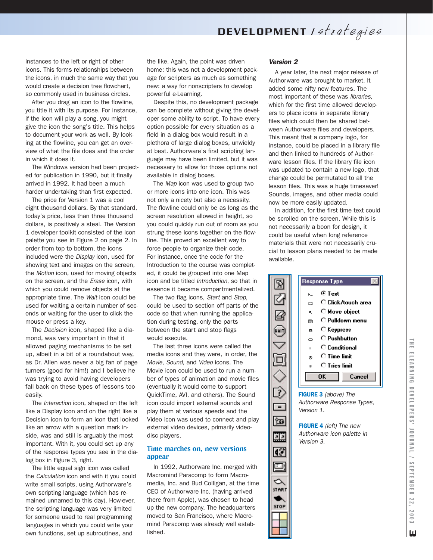instances to the left or right of other icons. This forms relationships between the icons, in much the same way that you would create a decision tree flowchart, so commonly used in business circles.

After you drag an icon to the flowline, you title it with its purpose. For instance, if the icon will play a song, you might give the icon the song's title. This helps to document your work as well. By looking at the flowline, you can get an overview of what the file does and the order in which it does it.

The Windows version had been projected for publication in 1990, but it finally arrived in 1992. It had been a much harder undertaking than first expected.

The price for Version 1 was a cool eight thousand dollars. By that standard, today's price, less than three thousand dollars, is positively a steal. The Version 1 developer toolkit consisted of the icon palette you see in Figure 2 on page 2. In order from top to bottom, the icons included were the *Display* icon, used for showing text and images on the screen, the *Motion* icon, used for moving objects on the screen, and the *Erase* icon, with which you could remove objects at the appropriate time. The *Wait* icon could be used for waiting a certain number of seconds or waiting for the user to click the mouse or press a key.

The *Decision* icon, shaped like a diamond, was very important in that it allowed paging mechanisms to be set up, albeit in a bit of a roundabout way, as Dr. Allen was never a big fan of page turners (good for him!) and I believe he was trying to avoid having developers fall back on these types of lessons too easily.

The *Interaction* icon, shaped on the left like a Display icon and on the right like a Decision icon to form an icon that looked like an arrow with a question mark inside, was and still is arguably the most important. With it, you could set up any of the response types you see in the dialog box in Figure 3, right.

The little equal sign icon was called the *Calculation* icon and with it you could write small scripts, using Authorware's own scripting language (which has remained unnamed to this day). How-ever, the scripting language was very limited for someone used to real programming languages in which you could write your own functions, set up subroutines, and

the like. Again, the point was driven home: this was not a development package for scripters as much as something new: a way for nonscripters to develop powerful e-Learning.

Despite this, no development package can be complete without giving the developer some ability to script. To have every option possible for every situation as a field in a dialog box would result in a plethora of large dialog boxes, unwieldy at best. Authorware's first scripting language may have been limited, but it was necessary to allow for those options not available in dialog boxes.

The *Map* icon was used to group two or more icons into one icon. This was not only a nicety but also a necessity. The flowline could only be as long as the screen resolution allowed in height, so you could quickly run out of room as you strung these icons together on the flowline. This proved an excellent way to force people to organize their code. For instance, once the code for the Introduction to the course was completed, it could be grouped into one Map icon and be titled *Introduction*, so that in essence it became compartmentalized.

The two flag icons, *Start* and *Stop*, could be used to section off parts of the code so that when running the application during testing, only the parts between the start and stop flags would execute.

The last three icons were called the media icons and they were, in order, the *Movie*, *Sound*, and *Video* icons. The Movie icon could be used to run a number of types of animation and movie files (eventually it would come to support QuickTime, AVI, and others). The Sound icon could import external sounds and play them at various speeds and the Video icon was used to connect and play external video devices, primarily videodisc players.

#### **Time marches on, new versions appear**

In 1992, Authorware Inc. merged with Macromind Paracomp to form Macromedia, Inc. and Bud Colligan, at the time CEO of Authorware Inc. (having arrived there from Apple), was chosen to head up the new company. The headquarters moved to San Francisco, where Macromind Paracomp was already well established.

#### *Version 2*

A year later, the next major release of Authorware was brought to market. It added some nifty new features. The most important of these was *libraries*, which for the first time allowed developers to place icons in separate library files which could then be shared between Authorware files and developers. This meant that a company logo, for instance, could be placed in a library file and then linked to hundreds of Authorware lesson files. If the library file icon was updated to contain a new logo, that change could be permutated to all the lesson files. This was a huge timesaver! Sounds, images, and other media could now be more easily updated.

In addition, for the first time text could be scrolled on the screen. While this is not necessarily a boon for design, it could be useful when long reference materials that were not necessarily crucial to lesson plans needed to be made available.



FIGURE 3 *(above) The Authorware Response Types, Version 1.*

 $\equiv$ 

匈

22

Q.

oj

◇ **START** 

**STOP** 

FIGURE 4 *(left) The new Authorware icon palette in Version 3.*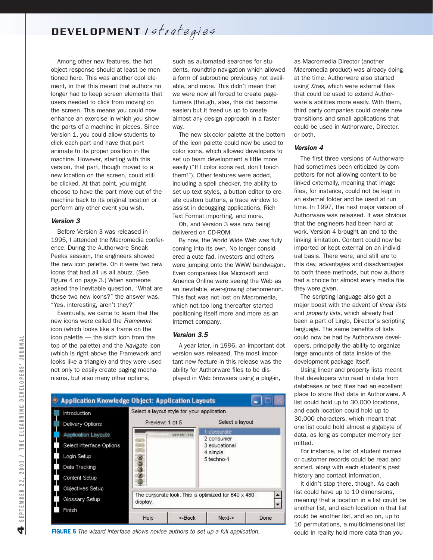DEVELOPMENT Istrategies

Among other new features, the hot object response should at least be mentioned here. This was another cool element, in that this meant that authors no longer had to keep screen elements that users needed to click from moving on the screen. This means you could now enhance an exercise in which you show the parts of a machine in pieces. Since Version 1, you could allow students to click each part and have that part animate to its proper position in the machine. However, starting with this version, that part, though moved to a new location on the screen, could still be clicked. At that point, you might choose to have the part move out of the machine back to its original location or perform any other event you wish.

#### *Version 3*

Before Version 3 was released in 1995, I attended the Macromedia conference. During the Authorware Sneak Peeks session, the engineers showed the new icon palette. On it were two new icons that had all us all abuzz. (See Figure 4 on page 3.) When someone asked the inevitable question, "What are those two new icons?" the answer was, "Yes, interesting, aren't they?"

Eventually, we came to learn that the new icons were called the *Framework* icon (which looks like a frame on the icon palette — the sixth icon from the top of the palette) and the *Navigate* icon (which is right above the Framework and looks like a triangle) and they were used not only to easily create paging mechanisms, but also many other options,

such as automated searches for students, roundtrip navigation which allowed a form of subroutine previously not available, and more. This didn't mean that we were now all forced to create pageturners (though, alas, this did become easier) but it freed us up to create almost any design approach in a faster way.

The new six-color palette at the bottom of the icon palette could now be used to color icons, which allowed developers to set up team development a little more easily ("If I color icons red, don't touch them!"). Other features were added, including a spell checker, the ability to set up text styles, a button editor to create custom buttons, a trace window to assist in debugging applications, Rich Text Format importing, and more.

Oh, and Version 3 was now being delivered on CD-ROM.

By now, the World Wide Web was fully coming into its own. No longer considered a cute fad, investors and others were jumping onto the WWW bandwagon. Even companies like Microsoft and America Online were seeing the Web as an inevitable, ever-growing phenomenon. This fact was not lost on Macromedia, which not too long thereafter started positioning itself more and more as an Internet company.

#### *Version 3.5*

A year later, in 1996, an important dot version was released. The most important new feature in this release was the ability for Authorware files to be displayed in Web browsers using a plug-in,



FIGURE 5 *The wizard interface allows novice authors to set up a full application.*

as Macromedia Director (another Macromedia product) was already doing at the time. Authorware also started using *Xtras*, which were external files that could be used to extend Authorware's abilities more easily. With them, third party companies could create new transitions and small applications that could be used in Authorware, Director, or both.

#### *Version 4*

The first three versions of Authorware had sometimes been criticized by competitors for not allowing content to be linked externally, meaning that image files, for instance, could not be kept in an external folder and be used at run time. In 1997, the next major version of Authorware was released. It was obvious that the engineers had been hard at work. Version 4 brought an end to the linking limitation. Content could now be imported or kept external on an individual basis. There were, and still are to this day, advantages and disadvantages to both these methods, but now authors had a choice for almost every media file they were given.

The scripting language also got a major boost with the advent of *linear lists* and *property lists*, which already had been a part of Lingo, Director's scripting language. The same benefits of lists could now be had by Authorware developers, principally the ability to organize large amounts of data inside of the development package itself.

Using linear and property lists meant that developers who read in data from databases or text files had an excellent place to store that data in Authorware. A list could hold up to 30,000 locations, and each location could hold up to 30,000 characters, which meant that one list could hold almost a gigabyte of data, as long as computer memory permitted.

For instance, a list of student names or customer records could be read and sorted, along with each student's past history and contact information.

It didn't stop there, though. As each list could have up to 10 dimensions, meaning that a location in a list could be another list, and each location in that list could be another list, and so on, up to 10 permutations, a multidimensional list could in reality hold more data than you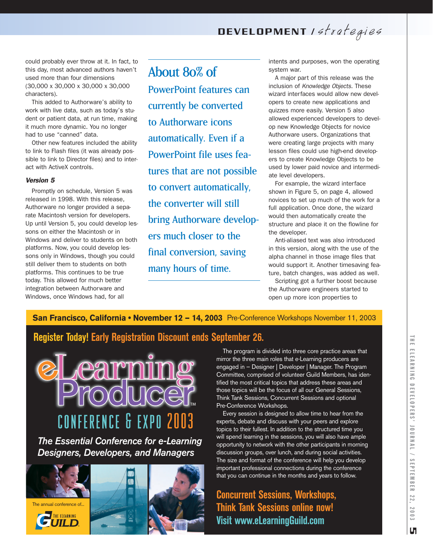could probably ever throw at it. In fact, to this day, most advanced authors haven't used more than four dimensions (30,000 x 30,000 x 30,000 x 30,000 characters).

This added to Authorware's ability to work with live data, such as today's student or patient data, at run time, making it much more dynamic. You no longer had to use "canned" data.

Other new features included the ability to link to Flash files (it was already possible to link to Director files) and to interact with ActiveX controls.

#### *Version 5*

Promptly on schedule, Version 5 was released in 1998. With this release, Authorware no longer provided a separate Macintosh version for developers. Up until Version 5, you could develop lessons on either the Macintosh or in Windows and deliver to students on both platforms. Now, you could develop lessons only in Windows, though you could still deliver them to students on both platforms. This continues to be true today. This allowed for much better integration between Authorware and Windows, once Windows had, for all

About 80% of PowerPoint features can currently be converted to Authorware icons automatically. Even if a PowerPoint file uses features that are not possible to convert automatically, the converter will still bring Authorware developers much closer to the final conversion, saving many hours of time.

intents and purposes, won the operating system war.

A major part of this release was the inclusion of *Knowledge Objects*. These wizard interfaces would allow new developers to create new applications and quizzes more easily. Version 5 also allowed experienced developers to develop new Knowledge Objects for novice Authorware users. Organizations that were creating large projects with many lesson files could use high-end developers to create Knowledge Objects to be used by lower paid novice and intermediate level developers.

For example, the wizard interface shown in Figure 5, on page 4, allowed novices to set up much of the work for a full application. Once done, the wizard would then automatically create the structure and place it on the flowline for the developer.

Anti-aliased text was also introduced in this version, along with the use of the alpha channel in those image files that would support it. Another timesaving feature, batch changes, was added as well.

Scripting got a further boost because the Authorware engineers started to open up more icon properties to

## San Francisco, California • November 12 - 14, 2003 Pre-Conference Workshops November 11, 2003

## **Register Today! Early Registration Discount ends September 26.**



*Designers, Developers, and Managers*



The program is divided into three core practice areas that mirror the three main roles that e-Learning producers are engaged in — Designer | Developer | Manager. The Program Committee, comprised of volunteer Guild Members, has identified the most critical topics that address these areas and those topics will be the focus of all our General Sessions, Think Tank Sessions, Concurrent Sessions and optional Pre-Conference Workshops.

Every session is designed to allow time to hear from the experts, debate and discuss with your peers and explore topics to their fullest. In addition to the structured time you will spend learning in the sessions, you will also have ample opportunity to network with the other participants in morning discussion groups, over lunch, and during social activities. The size and format of the conference will help you develop important professional connections during the conference that you can continue in the months and years to follow.

**Concurrent Sessions, Workshops, Think Tank Sessions online now! Visit www.eLearningGuild.com**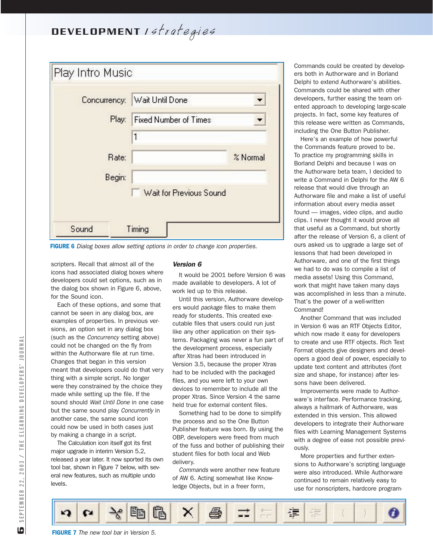

FIGURE 6 *Dialog boxes allow setting options in order to change icon properties.*

scripters. Recall that almost all of the icons had associated dialog boxes where developers could set options, such as in the dialog box shown in Figure 6, above, for the Sound icon.

Each of these options, and some that cannot be seen in any dialog box, are examples of properties. In previous versions, an option set in any dialog box (such as the *Concurrency* setting above) could not be changed on the fly from within the Authorware file at run time. Changes that began in this version meant that developers could do that very thing with a simple script. No longer were they constrained by the choice they made while setting up the file. If the sound should *Wait Until Done* in one case but the same sound play *Concurrently* in another case, the same sound icon could now be used in both cases just by making a change in a script.

The Calculation icon itself got its first major upgrade in interim Version 5.2, released a year later. It now sported its own tool bar, shown in Figure 7 below, with several new features, such as multiple undo levels.

#### *Version 6*

It would be 2001 before Version 6 was made available to developers. A lot of work led up to this release.

Until this version, Authorware developers would *package* files to make them ready for students. This created executable files that users could run just like any other application on their systems. Packaging was never a fun part of the development process, especially after Xtras had been introduced in Version 3.5, because the proper Xtras had to be included with the packaged files, and you were left to your own devices to remember to include all the proper Xtras. Since Version 4 the same held true for external content files.

Something had to be done to simplify the process and so the One Button Publisher feature was born. By using the OBP, developers were freed from much of the fuss and bother of publishing their student files for both local and Web delivery.

*Commands* were another new feature of AW 6. Acting somewhat like Knowledge Objects, but in a freer form,

Commands could be created by developers both in Authorware and in Borland Delphi to extend Authorware's abilities. Commands could be shared with other developers, further easing the team oriented approach to developing large-scale projects. In fact, some key features of this release were written as Commands, including the One Button Publisher.

Here's an example of how powerful the Commands feature proved to be. To practice my programming skills in Borland Delphi and because I was on the Authorware beta team, I decided to write a Command in Delphi for the AW 6 release that would dive through an Authorware file and make a list of useful information about every media asset found — images, video clips, and audio clips. I never thought it would prove all that useful as a Command, but shortly after the release of Version 6, a client of ours asked us to upgrade a large set of lessons that had been developed in Authorware, and one of the first things we had to do was to compile a list of media assets! Using this Command, work that might have taken many days was accomplished in less than a minute. That's the power of a well-written Command!

Another Command that was included in Version 6 was an RTF Objects Editor, which now made it easy for developers to create and use RTF objects. Rich Text Format objects give designers and developers a good deal of power, especially to update text content and attributes (font size and shape, for instance) after lessons have been delivered.

Improvements were made to Authorware's interface. Performance tracking, always a hallmark of Authorware, was extended in this version. This allowed developers to integrate their Authorware files with Learning Management Systems with a degree of ease not possible previously.

More properties and further extensions to Authorware's scripting language were also introduced. While Authorware continued to remain relatively easy to use for nonscripters, hardcore program-

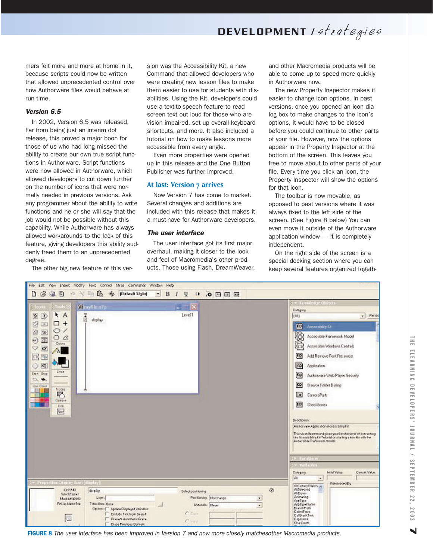mers felt more and more at home in it, because scripts could now be written that allowed unprecedented control over how Authorware files would behave at run time.

#### *Version 6.5*

In 2002, Version 6.5 was released. Far from being just an interim dot release, this proved a major boon for those of us who had long missed the ability to create our own true script functions in Authorware. Script functions were now allowed in Authorware, which allowed developers to cut down further on the number of icons that were normally needed in previous versions. Ask any programmer about the ability to write functions and he or she will say that the job would not be possible without this capability. While Authorware has always allowed workarounds to the lack of this feature, giving developers this ability suddenly freed them to an unprecedented degree.

The other big new feature of this ver-

sion was the Accessibility Kit, a new Command that allowed developers who were creating new lesson files to make them easier to use for students with disabilities. Using the Kit, developers could use a text-to-speech feature to read screen text out loud for those who are vision impaired, set up overall keyboard shortcuts, and more. It also included a tutorial on how to make lessons more accessible from every angle.

Even more properties were opened up in this release and the One Button Publisher was further improved.

#### **At last: Version 7 arrives**

Now Version 7 has come to market. Several changes and additions are included with this release that makes it a must-have for Authorware developers.

#### *The user interface*

The user interface got its first major overhaul, making it closer to the look and feel of Macromedia's other products. Those using Flash, DreamWeaver, and other Macromedia products will be able to come up to speed more quickly in Authorware now.

The new Property Inspector makes it easier to change icon options. In past versions, once you opened an icon dialog box to make changes to the icon's options, it would have to be closed before you could continue to other parts of your file. However, now the options appear in the Property Inspector at the bottom of the screen. This leaves you free to move about to other parts of your file. Every time you click an icon, the Property Inspector will show the options for that icon.

The toolbar is now movable, as opposed to past versions where it was always fixed to the left side of the screen. (See Figure 8 below) You can even move it outside of the Authorware application window — it is completely independent.

On the right side of the screen is a special docking section where you can keep several features organized togeth-

File Edit View Insert Modify Text Control Xtras Commands Window Help っ ※ 町島 ※ [Default Style] 0340  $-$  B J  $\begin{array}{c} \circ \\ \circ \\ \circ \end{array}$ y. 図. Category  $AA$  $\sqrt{ }$  Patis N Q Level1 TAIL dictive.  $\Box$ + 内口 Accordobility Kit m  $\circ$ 2回 Accessible Framework Model (G  $OZ$  $\odot$  II lja. Accessible Windows Controls  $\vee$  18 Žά P9 回图 Add Remove Font Resource ○ 図 Application **CO** Lines Start, Stop KQ) Authorise Web Player Security  $\sim$   $\bullet$ . [0] Drews Felder Dielog **R III** Canad<sup>P</sup>att  $\mathbb{E}$ Dieckhows Ein Re-Depotption Authorizer Apoliciation Accountilities (2) -<br>This victoral command gives you the choice of either running<br>His Accessible p Cit Tubarial or starting a new the with the<br>Accessible Framework model Cingary Censil Value **MANY MARK** ka Reterroced Dy ARC camp Pilainh yn<br>Alfabethau DESIT Ø displo Select popilioning Said2byat AliDown<br>Animating **Lines** Poritioning Mothway  $\mathbf{r}$ Mod 5/15(2003) depfiger<br>AppligerAams<br>Enerof Pols<br>Calvelions Titesdon Non Port by Norse No  $\sim$ Moutoin Rayer  $\mathbf{v}$ Update Displayed Variation Options: [ ۸ Embate Test from Search CollStockTex<br>Capabook 膠 Prevent Automatic Grace top Previous Content

FIGURE 8 *The user interface has been improved in Version 7 and now more closely matchesother Macromedia products.*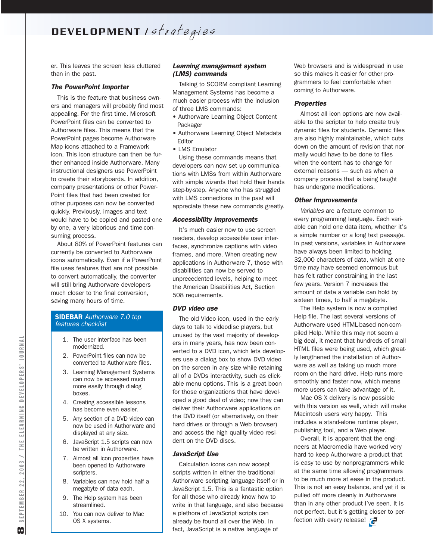DEVELOPMENT Istrategies

er. This leaves the screen less cluttered than in the past.

#### *The PowerPoint Importer*

This is the feature that business owners and managers will probably find most appealing. For the first time, Microsoft PowerPoint files can be converted to Authorware files. This means that the PowerPoint pages become Authorware Map icons attached to a Framework icon. This icon structure can then be further enhanced inside Authorware. Many instructional designers use PowerPoint to create their storyboards. In addition, company presentations or other Power-Point files that had been created for other purposes can now be converted quickly. Previously, images and text would have to be copied and pasted one by one, a very laborious and time-consuming process.

About 80% of PowerPoint features can currently be converted to Authorware icons automatically. Even if a PowerPoint file uses features that are not possible to convert automatically, the converter will still bring Authorware developers much closer to the final conversion, saving many hours of time.

#### SIDEBAR *Authorware 7.0 top features checklist*

- 1. The user interface has been modernized.
- 2. PowerPoint files can now be converted to Authorware files.
- 3. Learning Management Systems can now be accessed much more easily through dialog boxes.
- 4. Creating accessible lessons has become even easier.
- 5. Any section of a DVD video can now be used in Authorware and displayed at any size.
- 6. JavaScript 1.5 scripts can now be written in Authorware.
- 7. Almost all icon properties have been opened to Authorware scripters.
- 8. Variables can now hold half a megabyte of data each.
- 9. The Help system has been streamlined.
- 10. You can now deliver to Mac OS X systems.

### *Learning management system (LMS) commands*

Talking to SCORM compliant Learning Management Systems has become a much easier process with the inclusion of three LMS commands:

- Authorware Learning Object Content Packager
- Authorware Learning Object Metadata Editor
- LMS Emulator

Using these commands means that developers can now set up communications with LMSs from within Authorware with simple wizards that hold their hands step-by-step. Anyone who has struggled with LMS connections in the past will appreciate these new commands greatly.

#### *Accessibility improvements*

It's much easier now to use screen readers, develop accessible user interfaces, synchronize captions with video frames, and more. When creating new applications in Authorware 7, those with disabilities can now be served to unprecedented levels, helping to meet the American Disabilities Act, Section 508 requirements.

#### *DVD video use*

The old Video icon, used in the early days to talk to videodisc players, but unused by the vast majority of developers in many years, has now been converted to a DVD icon, which lets developers use a dialog box to show DVD video on the screen in any size while retaining all of a DVDs interactivity, such as clickable menu options. This is a great boon for those organizations that have developed a good deal of video; now they can deliver their Authorware applications on the DVD itself (or alternatively, on their hard drives or through a Web browser) and access the high quality video resident on the DVD discs.

#### *JavaScript Use*

Calculation icons can now accept scripts written in either the traditional Authorware scripting language itself or in JavaScript 1.5. This is a fantastic option for all those who already know how to write in that language, and also because a plethora of JavaScript scripts can already be found all over the Web. In fact, JavaScript is a native language of

Web browsers and is widespread in use so this makes it easier for other programmers to feel comfortable when coming to Authorware.

#### *Properties*

Almost all icon options are now available to the scripter to help create truly dynamic files for students. Dynamic files are also highly maintainable, which cuts down on the amount of revision that normally would have to be done to files when the content has to change for external reasons — such as when a company process that is being taught has undergone modifications.

#### *Other Improvements*

*Variables* are a feature common to every programming language. Each variable can hold one data item, whether it's a simple number or a long text passage. In past versions, variables in Authorware have always been limited to holding 32,000 characters of data, which at one time may have seemed enormous but has felt rather constraining in the last few years. Version 7 increases the amount of data a variable can hold by sixteen times, to half a megabyte.

The Help system is now a compiled Help file. The last several versions of Authorware used HTML-based non-compiled Help. While this may not seem a big deal, it meant that hundreds of small HTML files were being used, which greatly lengthened the installation of Authorware as well as taking up much more room on the hard drive. Help runs more smoothly and faster now, which means more users can take advantage of it.

Mac OS X delivery is now possible with this version as well, which will make Macintosh users very happy. This includes a stand-alone runtime player, publishing tool, and a Web player.

Overall, it is apparent that the engineers at Macromedia have worked very hard to keep Authorware a product that is easy to use by nonprogrammers while at the same time allowing programmers to be much more at ease in the product. This is not an easy balance, and yet it is pulled off more cleanly in Authorware than in any other product I've seen. It is not perfect, but it's getting closer to perfection with every release!